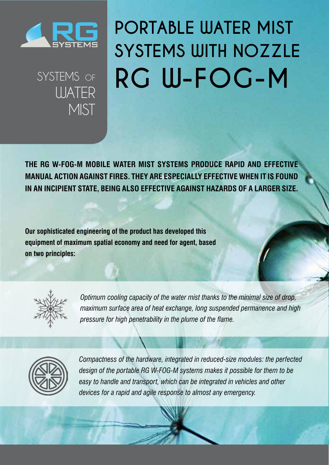

SYSTEMS OF

**UJATER** 

MIST<sub>I</sub>

## **PORTABLE WATER MIST SYSTEMS WITH NOZZLE RG W-FOG-M**

**The RG W-FOG-M mobile water mist systems produce rapid and effective manual action against fires. They are especially effective when it is found in an incipient state, being also effective against hazards of a larger size.** 

**Our sophisticated engineering of the product has developed this equipment of maximum spatial economy and need for agent, based on two principles:** 



*Optimum cooling capacity of the water mist thanks to the minimal size of drop, maximum surface area of heat exchange, long suspended permanence and high pressure for high penetrability in the plume of the flame.* 



*Compactness of the hardware, integrated in reduced-size modules: the perfected design of the portable RG W-FOG-M systems makes it possible for them to be*  easy to handle and transport, which can be integrated in vehicles and other *devices for a rapid and agile response to almost any emergency.*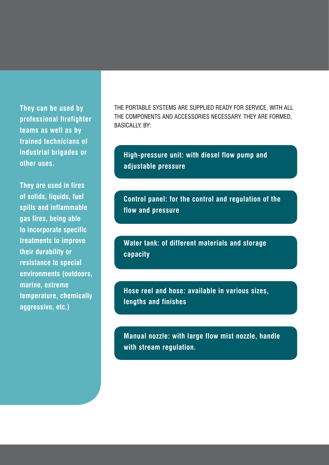**They can be used by professional firefighter teams as well as by trained technicians of industrial brigades or other uses.** 

**They are used in fires of solids, liquids, fuel spills and inflammable gas fires, being able to incorporate specific treatments to improve their durability or resistance to special environments (outdoors, marine, extreme temperature, chemically aggressive, etc.)** 

The portable systems are supplied ready for service, with all the components and accessories necessary. They are formed, basically, by:

**High-pressure unit: with diesel flow pump and adjustable pressure**

**Control panel: for the control and regulation of the flow and pressure**

**Water tank: of different materials and storage capacity**

**Hose reel and hose: available in various sizes, lengths and finishes**

**Manual nozzle: with large flow mist nozzle, handle with stream regulation.**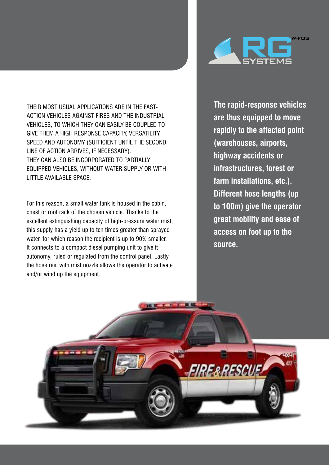Their most usual applications are in the fastaction vehicles against fires and the industrial vehicles, to which they can easily be coupled to give them a high response capacity, versatility, speed and autonomy (sufficient until the second line of action arrives, if necessary). They can also be incorporated to partially equipped vehicles, without water supply or with little available space.

For this reason, a small water tank is housed in the cabin, chest or roof rack of the chosen vehicle. Thanks to the excellent extinguishing capacity of high-pressure water mist, this supply has a yield up to ten times greater than sprayed water, for which reason the recipient is up to 90% smaller. It connects to a compact diesel pumping unit to give it autonomy, ruled or regulated from the control panel. Lastly, the hose reel with mist nozzle allows the operator to activate and/or wind up the equipment.



**The rapid-response vehicles are thus equipped to move rapidly to the affected point (warehouses, airports, highway accidents or infrastructures, forest or farm installations, etc.). Different hose lengths (up to 100m) give the operator great mobility and ease of access on foot up to the source.**

**FIRE & RESC**